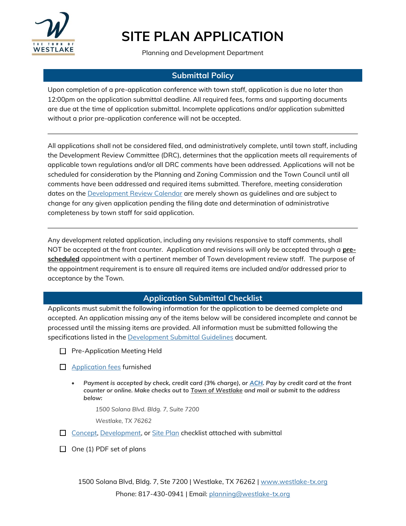

Planning and Development Department

### **Submittal Policy**

Upon completion of a pre-application conference with town staff, application is due no later than 12:00pm on the application submittal deadline. All required fees, forms and supporting documents are due at the time of application submittal. Incomplete applications and/or application submitted without a prior pre-application conference will not be accepted.

All applications shall not be considered filed, and administratively complete, until town staff, including the Development Review Committee (DRC), determines that the application meets all requirements of applicable town regulations and/or all DRC comments have been addressed. Applications will not be scheduled for consideration by the Planning and Zoning Commission and the Town Council until all comments have been addressed and required items submitted. Therefore, meeting consideration dates on the **Development Review Calendar** are merely shown as guidelines and are subject to change for any given application pending the filing date and determination of administrative completeness by town staff for said application.

Any development related application, including any revisions responsive to staff comments, shall NOT be accepted at the front counter. Application and revisions will only be accepted through a **prescheduled** appointment with a pertinent member of Town development review staff. The purpose of the appointment requirement is to ensure all required items are included and/or addressed prior to acceptance by the Town.

#### **Application Submittal Checklist**

Applicants must submit the following information for the application to be deemed complete and accepted. An application missing any of the items below will be considered incomplete and cannot be processed until the missing items are provided. All information must be submitted following the specifications listed in the **[Development Submittal Guidelines](http://westlake-tx.org/DocumentCenter/View/3081/Development-Submittal-Guidelines_08302019)** document.

- **Pre-Application Meeting Held**
- **[Application fees](https://westlake-tx.org/DocumentCenter/View/4011) furnished** 
	- *Payment is accepted by check, credit card (3% charge), or [ACH.](https://westlake-tx.org/DocumentCenter/View/3808/ACH-One-Time-Payment-Form) Pay by credit card at the front counter or online. Make checks out to Town of Westlake and mail or submit to the address below:*

*1500 Solana Blvd. Bldg. 7, Suite 7200*

*Westlake, TX 76262*

 $\Box$  [Concept,](http://westlake-tx.org/DocumentCenter/View/1303/Concept-Plan-Checklist) [Development,](http://westlake-tx.org/DocumentCenter/View/3140/Development-Plan-Checklist) or [Site Plan](http://westlake-tx.org/DocumentCenter/View/1307/Site-Plan-Checklist) checklist attached with submittal

 $\Box$  One (1) PDF set of plans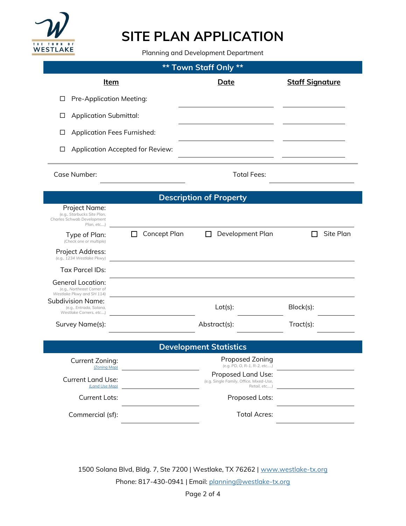

Planning and Development Department

| Town Staff Only **<br>**                                                                 |                                  |                                                                               |                        |  |
|------------------------------------------------------------------------------------------|----------------------------------|-------------------------------------------------------------------------------|------------------------|--|
| <u>Item</u>                                                                              |                                  | Date                                                                          | <b>Staff Signature</b> |  |
| Pre-Application Meeting:<br>□                                                            |                                  |                                                                               |                        |  |
| <b>Application Submittal:</b><br>⊔                                                       |                                  |                                                                               |                        |  |
| <b>Application Fees Furnished:</b><br>∟                                                  |                                  |                                                                               |                        |  |
| Ш                                                                                        | Application Accepted for Review: |                                                                               |                        |  |
| Case Number:                                                                             |                                  | <b>Total Fees:</b>                                                            |                        |  |
| <b>Description of Property</b>                                                           |                                  |                                                                               |                        |  |
| Project Name:<br>(e.g., Starbucks Site Plan,<br>Charles Schwab Development<br>Plan, etc) |                                  |                                                                               |                        |  |
| Type of Plan:<br>(Check one or multiple)                                                 | <b>Concept Plan</b>              | Development Plan                                                              | Site Plan              |  |
| Project Address:<br>(e.g., 1234 Westlake Pkwy)                                           |                                  |                                                                               |                        |  |
| <b>Tax Parcel IDs:</b>                                                                   |                                  |                                                                               |                        |  |
| <b>General Location:</b><br>(e.g., Northeast Corner of<br>Westlake Pkwy and SH 114)      |                                  |                                                                               |                        |  |
| Subdivision Name:<br>(e.g., Entrada, Solana,<br>Westlake Corners, etc)                   |                                  | $Lot(s)$ :                                                                    | Block(s):              |  |
| Survey Name(s):                                                                          |                                  | Abstract(s):                                                                  | Tract(s):              |  |
|                                                                                          |                                  | <b>Development Statistics</b>                                                 |                        |  |
| Current Zoning:<br>(Zoning Map)                                                          |                                  | Proposed Zoning<br>(e.g. PD, O, R-1, R-2, etc)                                |                        |  |
| <b>Current Land Use:</b><br>(Land Use Map)                                               |                                  | Proposed Land Use:<br>(e.g. Single Family, Office, Mixed-Use,<br>Retail, etc) |                        |  |
| <b>Current Lots:</b>                                                                     |                                  | Proposed Lots:                                                                |                        |  |
| Commercial (sf):                                                                         |                                  | <b>Total Acres:</b>                                                           |                        |  |

1500 Solana Blvd, Bldg. 7, Ste 7200 | Westlake, TX 76262 | [www.westlake-tx.org](http://www.westlake-tx.org/) Phone: 817-430-0941 | Email: [planning@westlake-tx.org](mailto:planning@westlake-tx.org)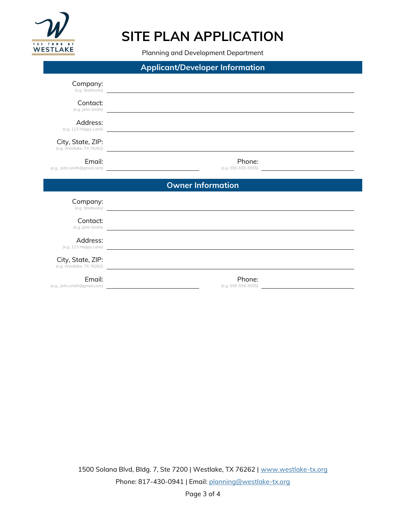

Planning and Development Department

| <b>Applicant/Developer Information</b> |                                                                                                                                                                                                                                      |  |
|----------------------------------------|--------------------------------------------------------------------------------------------------------------------------------------------------------------------------------------------------------------------------------------|--|
| Company:                               | (e.g. Starbucks)                                                                                                                                                                                                                     |  |
| Contact:                               | (e.g. John Smith)                                                                                                                                                                                                                    |  |
| Address:                               | (e.g. 123 Happy Lane) <b>Example 2020</b> Section 2020 12:00:00 Section 2020 12:00:00 Section 2020 12:00:00 Section 2020 12:00:00 Section 2020 12:00:00 Section 2020 12:00:00 Section 20:00:00 Section 20:00:00 Section 20:00:00 Se  |  |
| City, State, ZIP:                      | (e.g. Westlake, TX 76262)                                                                                                                                                                                                            |  |
| Email:                                 | Phone:                                                                                                                                                                                                                               |  |
|                                        | <b>Owner Information</b>                                                                                                                                                                                                             |  |
| Company:                               | (e.g. Starbucks) <b>with the contract of the contract of the contract of the contract of the contract of the contract of the contract of the contract of the contract of the contract of the contract of the contract of the con</b> |  |
| Contact:                               | (e.g. John Smith) and the control of the control of the control of the control of the control of the control of the control of the control of the control of the control of the control of the control of the control of the c       |  |
| Address:                               | (e.g. 123 Happy Lane) and the state of the state of the state of the state of the state of the state of the state of the state of the state of the state of the state of the state of the state of the state of the state of t       |  |
| City, State, ZIP:                      | (e.g. Westlake, TX 76262)                                                                                                                                                                                                            |  |
|                                        |                                                                                                                                                                                                                                      |  |